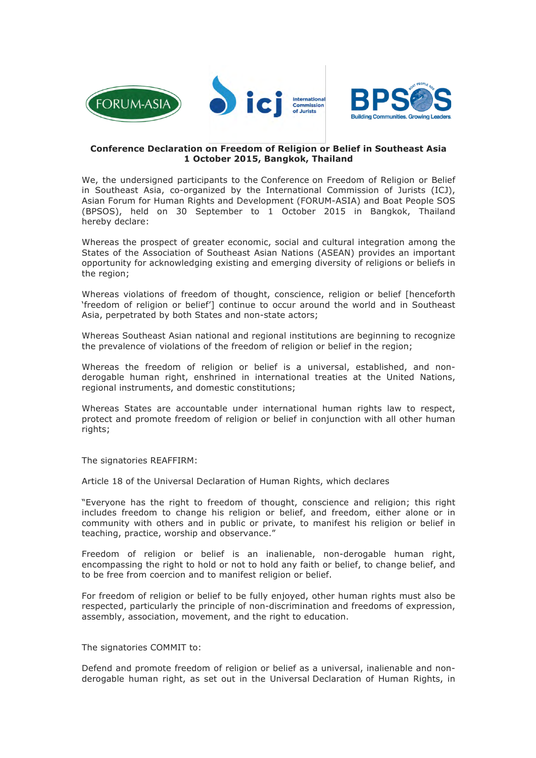



### **Conference Declaration on Freedom of Religion or Belief in Southeast Asia 1 October 2015, Bangkok, Thailand**

We, the undersigned participants to the Conference on Freedom of Religion or Belief in Southeast Asia, co-organized by the International Commission of Jurists (ICJ), Asian Forum for Human Rights and Development (FORUM-ASIA) and Boat People SOS (BPSOS), held on 30 September to 1 October 2015 in Bangkok, Thailand hereby declare:

Whereas the prospect of greater economic, social and cultural integration among the States of the Association of Southeast Asian Nations (ASEAN) provides an important opportunity for acknowledging existing and emerging diversity of religions or beliefs in the region;

Whereas violations of freedom of thought, conscience, religion or belief [henceforth 'freedom of religion or belief'] continue to occur around the world and in Southeast Asia, perpetrated by both States and non-state actors;

Whereas Southeast Asian national and regional institutions are beginning to recognize the prevalence of violations of the freedom of religion or belief in the region;

Whereas the freedom of religion or belief is a universal, established, and nonderogable human right, enshrined in international treaties at the United Nations, regional instruments, and domestic constitutions;

Whereas States are accountable under international human rights law to respect, protect and promote freedom of religion or belief in conjunction with all other human rights:

The signatories REAFFIRM:

Article 18 of the Universal Declaration of Human Rights, which declares

"Everyone has the right to freedom of thought, conscience and religion; this right includes freedom to change his religion or belief, and freedom, either alone or in community with others and in public or private, to manifest his religion or belief in teaching, practice, worship and observance."

Freedom of religion or belief is an inalienable, non-derogable human right, encompassing the right to hold or not to hold any faith or belief, to change belief, and to be free from coercion and to manifest religion or belief.

For freedom of religion or belief to be fully enjoyed, other human rights must also be respected, particularly the principle of non-discrimination and freedoms of expression, assembly, association, movement, and the right to education.

The signatories COMMIT to:

Defend and promote freedom of religion or belief as a universal, inalienable and nonderogable human right, as set out in the Universal Declaration of Human Rights, in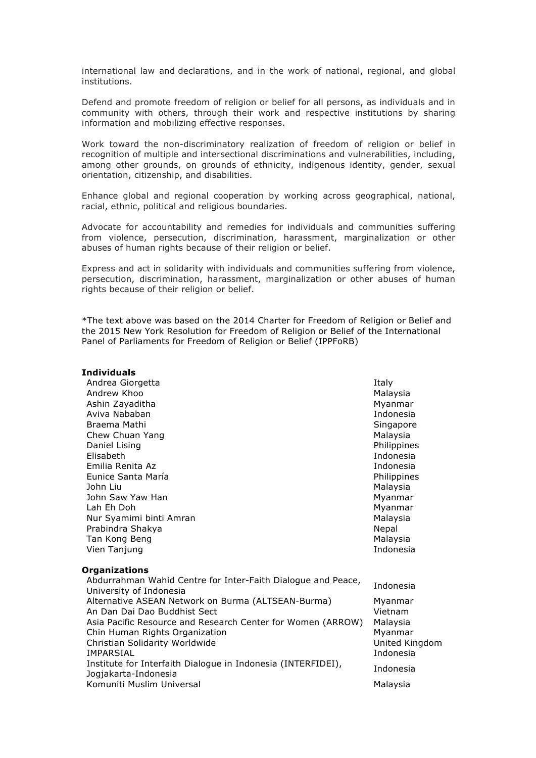international law and declarations, and in the work of national, regional, and global institutions.

Defend and promote freedom of religion or belief for all persons, as individuals and in community with others, through their work and respective institutions by sharing information and mobilizing effective responses.

Work toward the non-discriminatory realization of freedom of religion or belief in recognition of multiple and intersectional discriminations and vulnerabilities, including, among other grounds, on grounds of ethnicity, indigenous identity, gender, sexual orientation, citizenship, and disabilities.

Enhance global and regional cooperation by working across geographical, national, racial, ethnic, political and religious boundaries.

Advocate for accountability and remedies for individuals and communities suffering from violence, persecution, discrimination, harassment, marginalization or other abuses of human rights because of their religion or belief.

Express and act in solidarity with individuals and communities suffering from violence, persecution, discrimination, harassment, marginalization or other abuses of human rights because of their religion or belief.

\*The text above was based on the 2014 Charter for Freedom of Religion or Belief and the 2015 New York Resolution for Freedom of Religion or Belief of the International Panel of Parliaments for Freedom of Religion or Belief (IPPFoRB)

## **Individuals**

Andrea Giorgetta **Italy** Andrew Khoo **Malaysia** Malaysia Ashin Zayaditha Music and Ashin Zayaditha Music and Ashin Zayaditha Music and Ashin Zayaditha Music and Ashin Z Aviva Nababan Indonesia Braema Mathi Singapore (Singapore Singapore Singapore Singapore Singapore Singapore Singapore Singapore Singapore Chew Chuan Yang Malaysia Nasar Serbatan Serbatan Serbatan Malaysia Daniel Lising **Philippines** Philippines **Philippines** Elisabeth Indonesia Emilia Renita Az **Indonesia** anticonesia anticonesia anticonesia anticonesia anticonesia anticonesia anticonesia Eunice Santa María Philippines John Liu Malaysia John Saw Yaw Han Myanmar Museum Museum Museum Museum Museum Museum Museum Museum Museum Museum Museum Museum M Lah Eh Doh Myanmar Nur Syamimi binti Amran Malaysia (Malaysia Malaysia Malaysia Malaysia Malaysia Malaysia Malaysia Malaysia Malaysia Prabindra Shakya Nepal at a shine a shekarar ne shekarar 2012. Nepal at a shekarar ne shekarar ne shekarar 19 Tan Kong Beng Malaysia (Malaysia Malaysia Malaysia Malaysia Malaysia Malaysia Malaysia Malaysia Malaysia Malaysia Malaysia Malaysia Malaysia Malaysia Malaysia Malaysia Malaysia Malaysia Malaysia Malaysia Malaysia Malaysia Vien Tanjung **Indonesia** and Indonesia and Indonesia and Indonesia and Indonesia and Indonesia and Indonesia and Indonesia and Indonesia and Indonesia and Indonesia and Indonesia and Indonesia and Indonesia and Indonesia a

**Organizations**

Abdurramman wanid Centre for Inter-Falth Dialogue and Peace, Indonesia<br>University of Indonesia Alternative ASEAN Network on Burma (ALTSEAN-Burma) Myanmar An Dan Dai Dao Buddhist Sect Vietnam

| Asia Pacific Resource and Research Center for Women (ARROW)  | Malaysia       |
|--------------------------------------------------------------|----------------|
| Chin Human Rights Organization                               | Myanmar        |
| Christian Solidarity Worldwide                               | United Kingdom |
| IMPARSIAL                                                    | Indonesia      |
| Institute for Interfaith Dialogue in Indonesia (INTERFIDEI), | Indonesia      |
| Jogjakarta-Indonesia                                         |                |
| Komuniti Muslim Universal                                    | Malaysia       |

Abdurrahman Wahid Centre for Inter-Faith Dialogue and Peace,